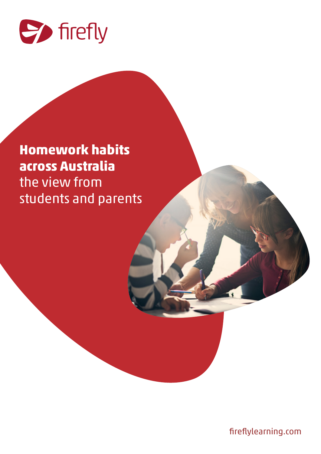

### **Homework habits across Australia** the view from students and parents

fireflylearning.com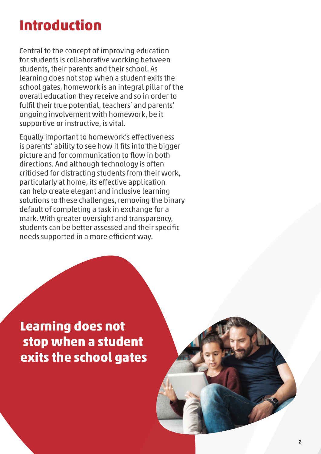### **Introduction**

Central to the concept of improving education for students is collaborative working between students, their parents and their school. As learning does not stop when a student exits the school gates, homework is an integral pillar of the overall education they receive and so in order to fulfil their true potential, teachers' and parents' ongoing involvement with homework, be it supportive or instructive, is vital.

Equally important to homework's effectiveness is parents' ability to see how it fits into the bigger picture and for communication to flow in both directions. And although technology is often criticised for distracting students from their work, particularly at home, its effective application can help create elegant and inclusive learning solutions to these challenges, removing the binary default of completing a task in exchange for a mark. With greater oversight and transparency, students can be better assessed and their specific needs supported in a more efficient way.

### **Learning does not stop when a student exits the school gates**

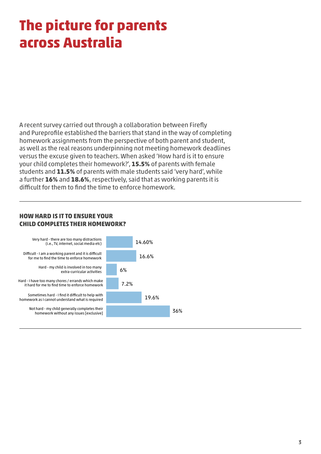# **The picture for parents across Australia**

A recent survey carried out through a collaboration between Firefly and Pureprofile established the barriers that stand in the way of completing homework assignments from the perspective of both parent and student, as well as the real reasons underpinning not meeting homework deadlines versus the excuse given to teachers. When asked 'How hard is it to ensure your child completes their homework?', **15.5%** of parents with female students and **11.5%** of parents with male students said 'very hard', while a further **16%** and **18.6%**, respectively, said that as working parents it is difficult for them to find the time to enforce homework.

#### **HOW HARD IS IT TO ENSURE YOUR CHILD COMPLETES THEIR HOMEWORK?**

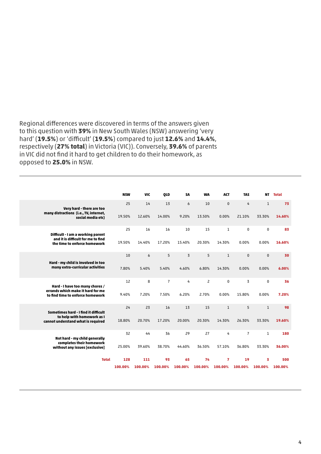Regional differences were discovered in terms of the answers given to this question with **39%** in New South Wales (NSW) answering 'very hard' (**19.5%**) or 'difficult' (**19.5%**) compared to just **12.6%** and **14.4%**, respectively (**27% total**) in Victoria (VIC)). Conversely, **39.6%** of parents in VIC did not find it hard to get children to do their homework, as opposed to **25.0%** in NSW.

|                                                                       | <b>NSW</b> | <b>VIC</b> | <b>OLD</b>     | <b>SA</b>      | <b>WA</b>    | <b>ACT</b>              | <b>TAS</b>     | <b>NT</b>    | <b>Total</b> |
|-----------------------------------------------------------------------|------------|------------|----------------|----------------|--------------|-------------------------|----------------|--------------|--------------|
| Very hard - there are too                                             | 25         | 14         | 13             | 6              | 10           | $\mathbf{0}$            | 4              | $\mathbf{1}$ | 73           |
| many distractions (i.e., TV, internet,<br>social media etc)           | 19.50%     | 12.60%     | 14.00%         | 9.20%          | 13.50%       | 0.00%                   | 21.10%         | 33.30%       | 14.60%       |
| Difficult - I am a working parent                                     | 25         | 16         | 16             | 10             | 15           | $\mathbf{1}$            | $\mathbf{0}$   | 0            | 83           |
| and it is difficult for me to find<br>the time to enforce homework    | 19.50%     | 14.40%     | 17.20%         | 15.40%         | 20.30%       | 14.30%                  | 0.00%          | 0.00%        | 16.60%       |
| Hard - my child is involved in too                                    | 10         | 6          | 5              | 3              | 5            | $\mathbf{1}$            | $\mathbf 0$    | 0            | 30           |
| many extra-curricular activities                                      | 7.80%      | 5.40%      | 5.40%          | 4.60%          | 6.80%        | 14.30%                  | 0.00%          | 0.00%        | 6.00%        |
| Hard - I have too many chores /                                       | 12         | 8          | $\overline{7}$ | $\overline{4}$ | $\mathsf{Z}$ | $\mathbf{0}$            | 3              | 0            | 36           |
| errands which make it hard for me<br>to find time to enforce homework | 9.40%      | 7.20%      | 7.50%          | 6.20%          | 2.70%        | 0.00%                   | 15.80%         | 0.00%        | 7.20%        |
| Sometimes hard - I find it difficult                                  | 24         | 23         | 16             | 13             | 15           | $\mathbf{1}$            | 5              | $\mathbf{1}$ | 98           |
| to help with homework as I<br>cannot understand what is required      | 18.80%     | 20.70%     | 17.20%         | 20.00%         | 20.30%       | 14.30%                  | 26.30%         | 33.30%       | 19.60%       |
| Not hard - my child generally                                         | 32         | 44         | 36             | 29             | 27           | 4                       | $\overline{7}$ | $\mathbf{1}$ | 180          |
| completes their homework<br>without any issues [exclusive]            | 25.00%     | 39.60%     | 38.70%         | 44.60%         | 36.50%       | 57.10%                  | 36.80%         | 33.30%       | 36.00%       |
| <b>Total</b>                                                          | 128        | 111        | 93             | 65             | 74           | $\overline{\mathbf{z}}$ | 19             | 3            | 500          |
|                                                                       | 100.00%    | 100.00%    | 100.00%        | 100.00%        | 100.00%      | 100.00%                 | 100.00%        | 100.00%      | 100.00%      |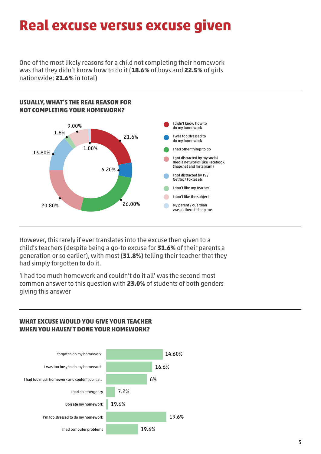## **Real excuse versus excuse given**

One of the most likely reasons for a child not completing their homework was that they didn't know how to do it (**18.6%** of boys and **22.5%** of girls nationwide; **21.6%** in total)



However, this rarely if ever translates into the excuse then given to a child's teachers (despite being a go-to excuse for **31.6%** of their parents a generation or so earlier), with most (**31.8%**) telling their teacher that they had simply forgotten to do it.

'I had too much homework and couldn't do it all' was the second most common answer to this question with **23.0%** of students of both genders giving this answer

#### **WHAT EXCUSE WOULD YOU GIVE YOUR TEACHER WHEN YOU HAVEN'T DONE YOUR HOMEWORK?**

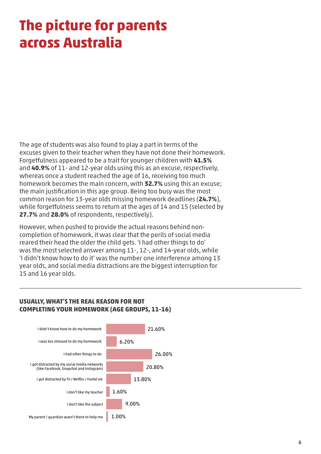# **The picture for parents across Australia**

The age of students was also found to play a part in terms of the excuses given to their teacher when they have not done their homework. Forgetfulness appeared to be a trait for younger children with **41.5%** and **40.9%** of 11- and 12-year olds using this as an excuse, respectively, whereas once a student reached the age of 16, receiving too much homework becomes the main concern, with **32.7%** using this an excuse; the main justification in this age group. Being too busy was the most common reason for 13-year olds missing homework deadlines (**24.7%**), while forgetfulness seems to return at the ages of 14 and 15 (selected by **27.7%** and **28.0%** of respondents, respectively).

However, when pushed to provide the actual reasons behind noncompletion of homework, it was clear that the perils of social media reared their head the older the child gets. 'I had other things to do' was the most selected answer among 11-, 12-, and 14-year olds, while 'I didn't know how to do it' was the number one interference among 13 year olds, and social media distractions are the biggest interruption for 15 and 16 year olds.

#### **USUALLY, WHAT'S THE REAL REASON FOR NOT COMPLETING YOUR HOMEWORK (AGE GROUPS, 11-16)**

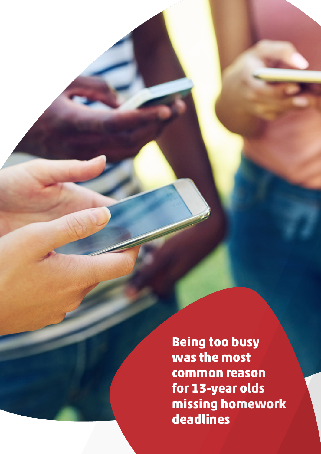**Being too busy was the most common reason for 13-year olds missing homework deadlines**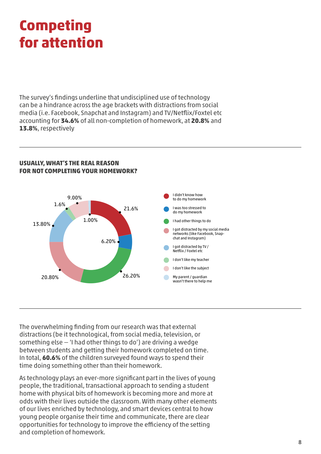# **Competing for attention**

The survey's findings underline that undisciplined use of technology can be a hindrance across the age brackets with distractions from social media (i.e. Facebook, Snapchat and Instagram) and TV/Netflix/Foxtel etc accounting for **34.6%** of all non-completion of homework, at **20.8%** and **13.8%**, respectively



#### **USUALLY, WHAT'S THE REAL REASON FOR NOT COMPLETING YOUR HOMEWORK?**

The overwhelming finding from our research was that external distractions (be it technological, from social media, television, or something else — 'I had other things to do') are driving a wedge between students and getting their homework completed on time. In total, **60.6%** of the children surveyed found ways to spend their time doing something other than their homework.

As technology plays an ever-more significant part in the lives of young people, the traditional, transactional approach to sending a student home with physical bits of homework is becoming more and more at odds with their lives outside the classroom. With many other elements of our lives enriched by technology, and smart devices central to how young people organise their time and communicate, there are clear opportunities for technology to improve the efficiency of the setting and completion of homework.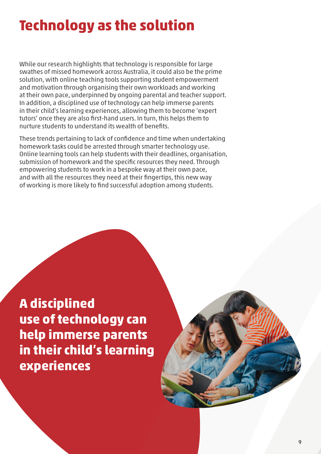## **Technology as the solution**

While our research highlights that technology is responsible for large swathes of missed homework across Australia, it could also be the prime solution, with online teaching tools supporting student empowerment and motivation through organising their own workloads and working at their own pace, underpinned by ongoing parental and teacher support. In addition, a disciplined use of technology can help immerse parents in their child's learning experiences, allowing them to become 'expert tutors' once they are also first-hand users. In turn, this helps them to nurture students to understand its wealth of benefits.

These trends pertaining to lack of confidence and time when undertaking homework tasks could be arrested through smarter technology use. Online learning tools can help students with their deadlines, organisation, submission of homework and the specific resources they need. Through empowering students to work in a bespoke way at their own pace, and with all the resources they need at their fingertips, this new way of working is more likely to find successful adoption among students.

**A disciplined use of technology can help immerse parents in their child's learning experiences**

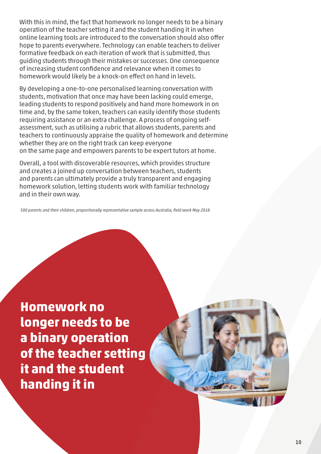With this in mind, the fact that homework no longer needs to be a binary operation of the teacher setting it and the student handing it in when online learning tools are introduced to the conversation should also offer hope to parents everywhere. Technology can enable teachers to deliver formative feedback on each iteration of work that is submitted, thus guiding students through their mistakes or successes. One consequence of increasing student confidence and relevance when it comes to homework would likely be a knock-on effect on hand in levels.

By developing a one-to-one personalised learning conversation with students, motivation that once may have been lacking could emerge, leading students to respond positively and hand more homework in on time and, by the same token, teachers can easily identify those students requiring assistance or an extra challenge. A process of ongoing selfassessment, such as utilising a rubric that allows students, parents and teachers to continuously appraise the quality of homework and determine whether they are on the right track can keep everyone on the same page and empowers parents to be expert tutors at home.

Overall, a tool with discoverable resources, which provides structure and creates a joined up conversation between teachers, students and parents can ultimately provide a truly transparent and engaging homework solution, letting students work with familiar technology and in their own way.

*500 parents and their children, proportionally representative sample across Australia, field work May 2018*

**Homework no longer needs to be a binary operation of the teacher setting it and the student handing it in**